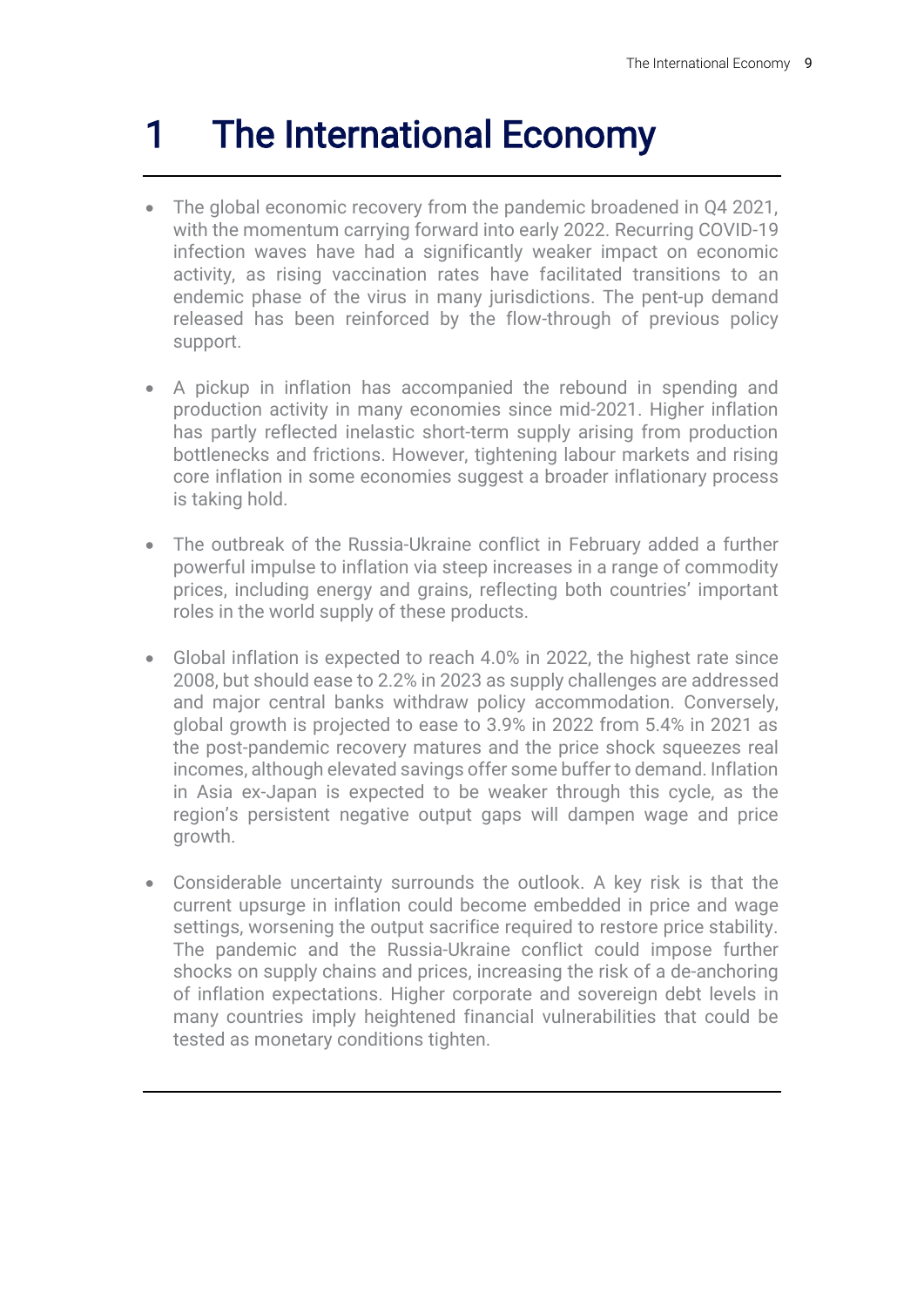# 1 The International Economy

- The global economic recovery from the pandemic broadened in Q4 2021, with the momentum carrying forward into early 2022. Recurring COVID-19 infection waves have had a significantly weaker impact on economic activity, as rising vaccination rates have facilitated transitions to an endemic phase of the virus in many jurisdictions. The pent-up demand released has been reinforced by the flow-through of previous policy support.
- A pickup in inflation has accompanied the rebound in spending and production activity in many economies since mid-2021. Higher inflation has partly reflected inelastic short-term supply arising from production bottlenecks and frictions. However, tightening labour markets and rising core inflation in some economies suggest a broader inflationary process is taking hold.
- The outbreak of the Russia-Ukraine conflict in February added a further powerful impulse to inflation via steep increases in a range of commodity prices, including energy and grains, reflecting both countries' important roles in the world supply of these products.
- Global inflation is expected to reach 4.0% in 2022, the highest rate since 2008, but should ease to 2.2% in 2023 as supply challenges are addressed and major central banks withdraw policy accommodation. Conversely, global growth is projected to ease to 3.9% in 2022 from 5.4% in 2021 as the post-pandemic recovery matures and the price shock squeezes real incomes, although elevated savings offer some buffer to demand. Inflation in Asia ex-Japan is expected to be weaker through this cycle, as the region's persistent negative output gaps will dampen wage and price growth.
- Considerable uncertainty surrounds the outlook. A key risk is that the current upsurge in inflation could become embedded in price and wage settings, worsening the output sacrifice required to restore price stability. The pandemic and the Russia-Ukraine conflict could impose further shocks on supply chains and prices, increasing the risk of a de-anchoring of inflation expectations. Higher corporate and sovereign debt levels in many countries imply heightened financial vulnerabilities that could be tested as monetary conditions tighten.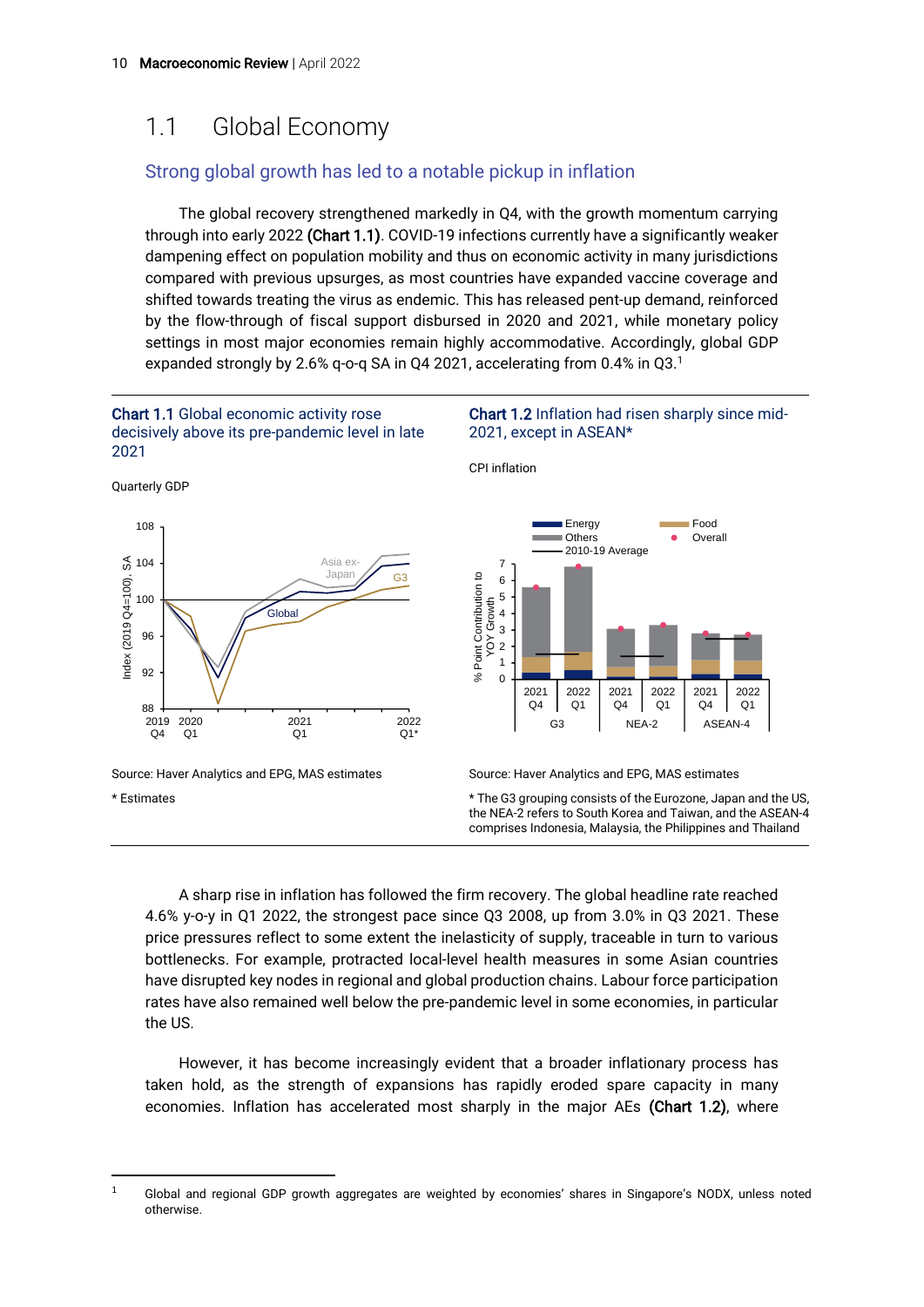# 1.1 Global Economy

#### Strong global growth has led to a notable pickup in inflation

The global recovery strengthened markedly in Q4, with the growth momentum carrying through into early 2022 (Chart 1.1). COVID-19 infections currently have a significantly weaker dampening effect on population mobility and thus on economic activity in many jurisdictions compared with previous upsurges, as most countries have expanded vaccine coverage and shifted towards treating the virus as endemic. This has released pent-up demand, reinforced by the flow-through of fiscal support disbursed in 2020 and 2021, while monetary policy settings in most major economies remain highly accommodative. Accordingly, global GDP expanded strongly by 2.6% q-o-q SA in Q4 2021, accelerating from 0.4% in Q3.<sup>1</sup>



\* Estimates

\* The G3 grouping consists of the Eurozone, Japan and the US, the NEA-2 refers to South Korea and Taiwan, and the ASEAN-4 comprises Indonesia, Malaysia, the Philippines and Thailand

A sharp rise in inflation has followed the firm recovery. The global headline rate reached 4.6% y-o-y in Q1 2022, the strongest pace since Q3 2008, up from 3.0% in Q3 2021. These price pressures reflect to some extent the inelasticity of supply, traceable in turn to various bottlenecks. For example, protracted local-level health measures in some Asian countries have disrupted key nodes in regional and global production chains. Labour force participation rates have also remained well below the pre-pandemic level in some economies, in particular the US.

However, it has become increasingly evident that a broader inflationary process has taken hold, as the strength of expansions has rapidly eroded spare capacity in many economies. Inflation has accelerated most sharply in the major AEs (Chart 1.2), where

<sup>&</sup>lt;sup>1</sup> Global and regional GDP growth aggregates are weighted by economies' shares in Singapore's NODX, unless noted otherwise.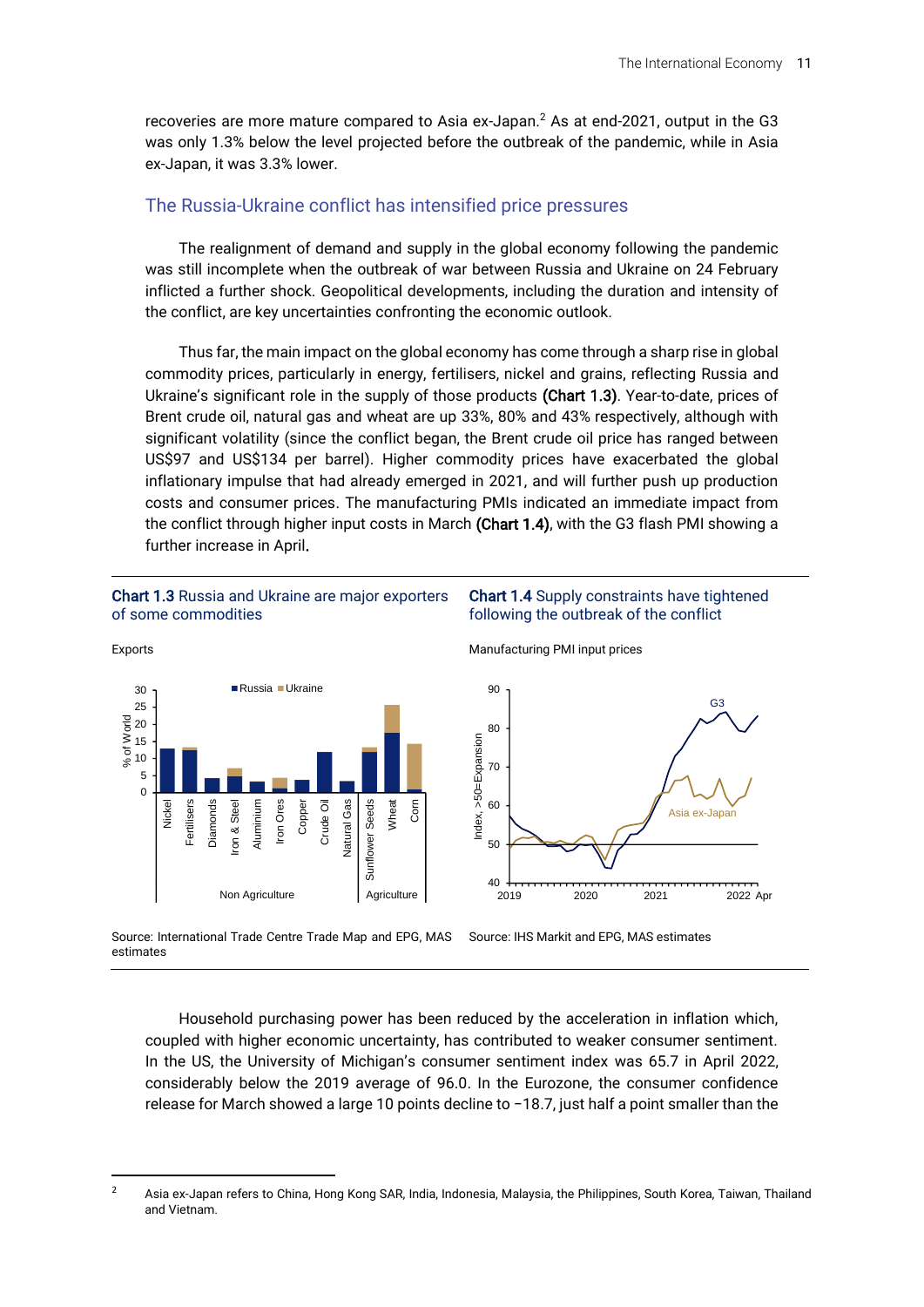recoveries are more mature compared to Asia ex-Japan.<sup>2</sup> As at end-2021, output in the G3 was only 1.3% below the level projected before the outbreak of the pandemic, while in Asia ex-Japan, it was 3.3% lower.

#### The Russia-Ukraine conflict has intensified price pressures

The realignment of demand and supply in the global economy following the pandemic was still incomplete when the outbreak of war between Russia and Ukraine on 24 February inflicted a further shock. Geopolitical developments, including the duration and intensity of the conflict, are key uncertainties confronting the economic outlook.

Thus far, the main impact on the global economy has come through a sharp rise in global commodity prices, particularly in energy, fertilisers, nickel and grains, reflecting Russia and Ukraine's significant role in the supply of those products (Chart 1.3). Year-to-date, prices of Brent crude oil, natural gas and wheat are up 33%, 80% and 43% respectively, although with significant volatility (since the conflict began, the Brent crude oil price has ranged between US\$97 and US\$134 per barrel). Higher commodity prices have exacerbated the global inflationary impulse that had already emerged in 2021, and will further push up production costs and consumer prices. The manufacturing PMIs indicated an immediate impact from the conflict through higher input costs in March (Chart 1.4), with the G3 flash PMI showing a further increase in April.

#### Chart 1.3 Russia and Ukraine are major exporters of some commodities



Source: International Trade Centre Trade Map and EPG, MAS estimates



Manufacturing PMI input prices



Source: IHS Markit and EPG, MAS estimates

Household purchasing power has been reduced by the acceleration in inflation which, coupled with higher economic uncertainty, has contributed to weaker consumer sentiment. In the US, the University of Michigan's consumer sentiment index was 65.7 in April 2022, considerably below the 2019 average of 96.0. In the Eurozone, the consumer confidence release for March showed a large 10 points decline to −18.7, just half a point smaller than the

<sup>&</sup>lt;sup>2</sup> Asia ex-Japan refers to China, Hong Kong SAR, India, Indonesia, Malaysia, the Philippines, South Korea, Taiwan, Thailand and Vietnam.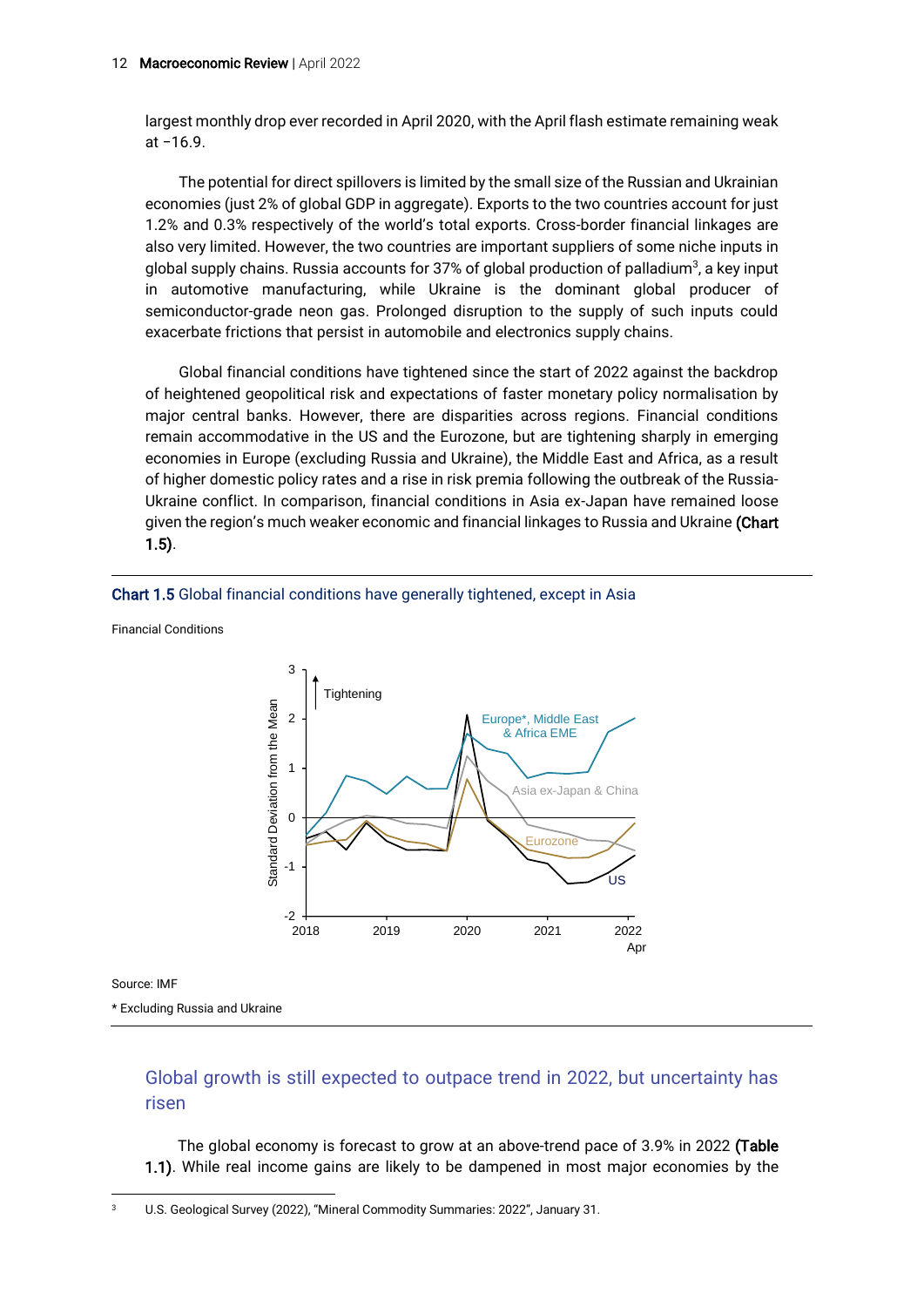largest monthly drop ever recorded in April 2020, with the April flash estimate remaining weak at −16.9.

The potential for direct spillovers is limited by the small size of the Russian and Ukrainian economies (just 2% of global GDP in aggregate). Exports to the two countries account for just 1.2% and 0.3% respectively of the world's total exports. Cross-border financial linkages are also very limited. However, the two countries are important suppliers of some niche inputs in global supply chains. Russia accounts for 37% of global production of palladium<sup>3</sup>, a key input in automotive manufacturing, while Ukraine is the dominant global producer of semiconductor-grade neon gas. Prolonged disruption to the supply of such inputs could exacerbate frictions that persist in automobile and electronics supply chains.

Global financial conditions have tightened since the start of 2022 against the backdrop of heightened geopolitical risk and expectations of faster monetary policy normalisation by major central banks. However, there are disparities across regions. Financial conditions remain accommodative in the US and the Eurozone, but are tightening sharply in emerging economies in Europe (excluding Russia and Ukraine), the Middle East and Africa, as a result of higher domestic policy rates and a rise in risk premia following the outbreak of the Russia-Ukraine conflict. In comparison, financial conditions in Asia ex-Japan have remained loose given the region's much weaker economic and financial linkages to Russia and Ukraine (Chart 1.5).



Financial Conditions



Source: IMF

\* Excluding Russia and Ukraine

#### Global growth is still expected to outpace trend in 2022, but uncertainty has risen

The global economy is forecast to grow at an above-trend pace of 3.9% in 2022 (Table 1.1). While real income gains are likely to be dampened in most major economies by the

<sup>3</sup> U.S. Geological Survey (2022), "Mineral Commodity Summaries: 2022", January 31.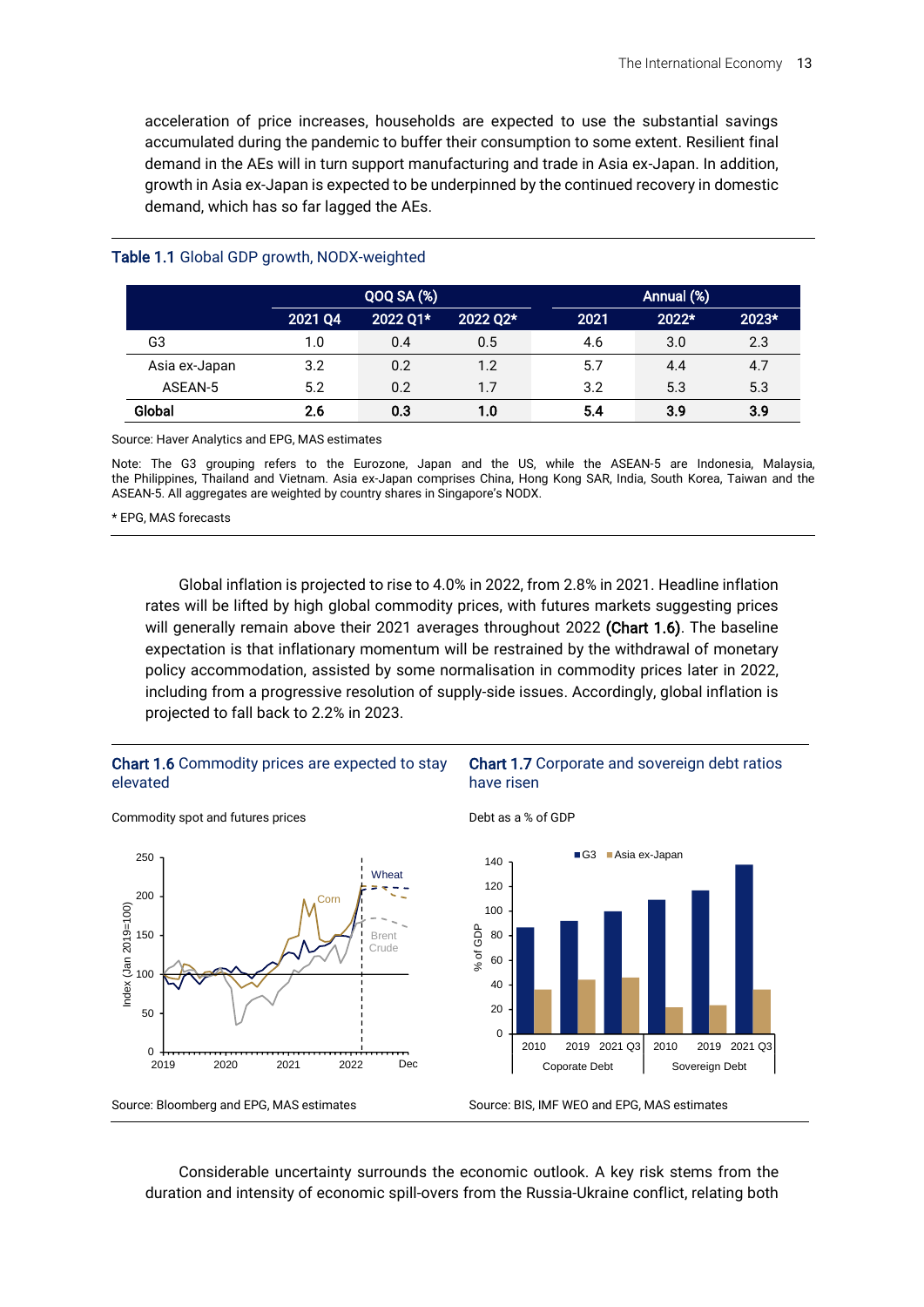acceleration of price increases, households are expected to use the substantial savings accumulated during the pandemic to buffer their consumption to some extent. Resilient final demand in the AEs will in turn support manufacturing and trade in Asia ex-Japan. In addition, growth in Asia ex-Japan is expected to be underpinned by the continued recovery in domestic demand, which has so far lagged the AEs.

|               | <b>QOQ SA (%)</b> |          |          | Annual (%) |       |       |  |
|---------------|-------------------|----------|----------|------------|-------|-------|--|
|               | 2021 Q4           | 2022 Q1* | 2022 Q2* | 2021       | 2022* | 2023* |  |
| G3            | 1.0               | 0.4      | 0.5      | 4.6        | 3.0   | 2.3   |  |
| Asia ex-Japan | 3.2               | 0.2      | 1.2      | 5.7        | 4.4   | 4.7   |  |
| ASEAN-5       | 5.2               | 0.2      | 1.7      | 3.2        | 5.3   | 5.3   |  |
| Global        | 2.6               | 0.3      | 1.0      | 5.4        | 3.9   | 3.9   |  |

#### Table 1.1 Global GDP growth, NODX-weighted

Source: Haver Analytics and EPG, MAS estimates

Note: The G3 grouping refers to the Eurozone, Japan and the US, while the ASEAN-5 are Indonesia, Malaysia, the Philippines, Thailand and Vietnam. Asia ex-Japan comprises China, Hong Kong SAR, India, South Korea, Taiwan and the ASEAN-5. All aggregates are weighted by country shares in Singapore's NODX.

\* EPG, MAS forecasts

Global inflation is projected to rise to 4.0% in 2022, from 2.8% in 2021. Headline inflation rates will be lifted by high global commodity prices, with futures markets suggesting prices will generally remain above their 2021 averages throughout 2022 (Chart 1.6). The baseline expectation is that inflationary momentum will be restrained by the withdrawal of monetary policy accommodation, assisted by some normalisation in commodity prices later in 2022, including from a progressive resolution of supply-side issues. Accordingly, global inflation is projected to fall back to 2.2% in 2023.

#### Chart 1.6 Commodity prices are expected to stay elevated



Commodity spot and futures prices



Debt as a % of GDP



Considerable uncertainty surrounds the economic outlook. A key risk stems from the duration and intensity of economic spill-overs from the Russia-Ukraine conflict, relating both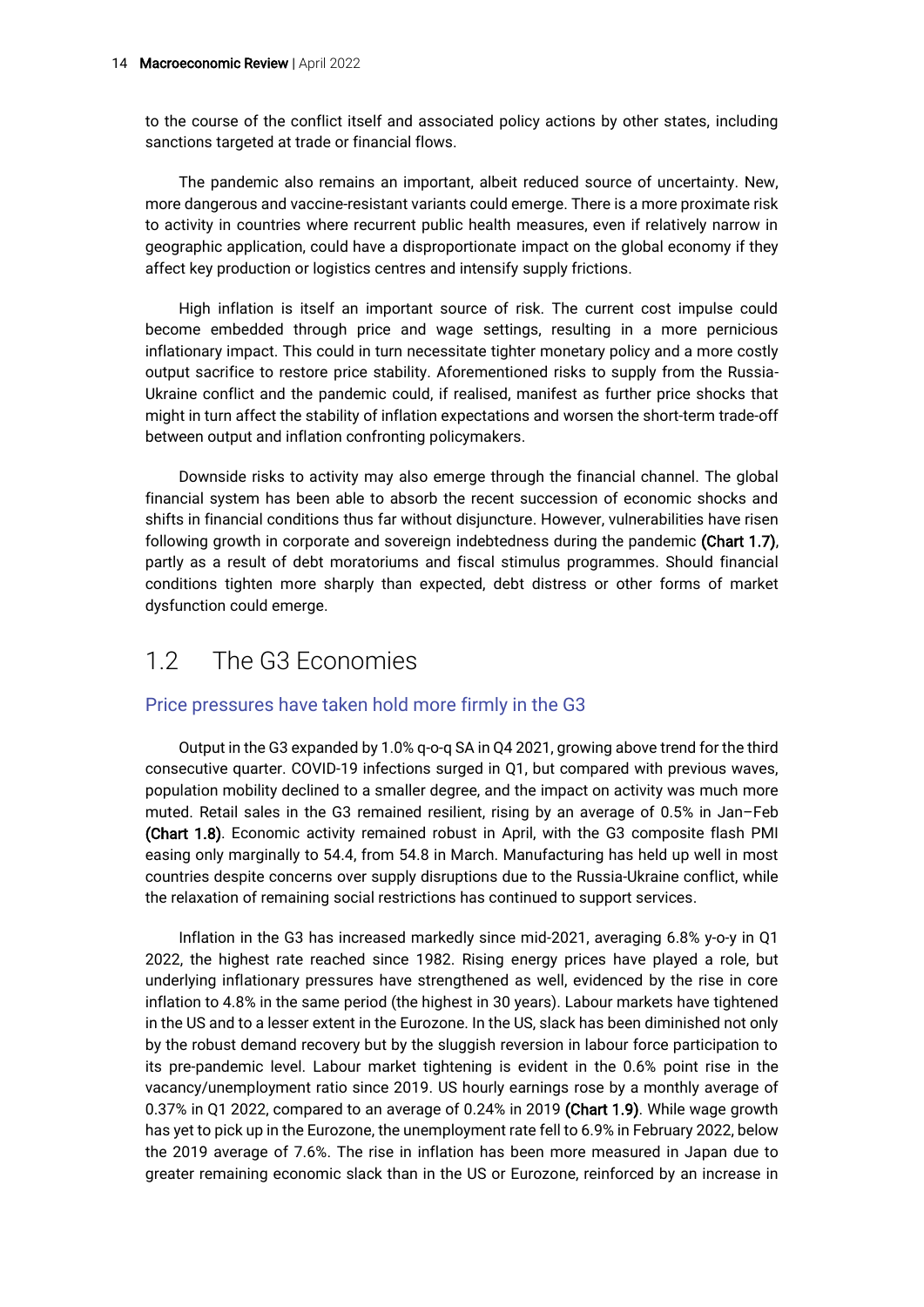to the course of the conflict itself and associated policy actions by other states, including sanctions targeted at trade or financial flows.

The pandemic also remains an important, albeit reduced source of uncertainty. New, more dangerous and vaccine-resistant variants could emerge. There is a more proximate risk to activity in countries where recurrent public health measures, even if relatively narrow in geographic application, could have a disproportionate impact on the global economy if they affect key production or logistics centres and intensify supply frictions.

High inflation is itself an important source of risk. The current cost impulse could become embedded through price and wage settings, resulting in a more pernicious inflationary impact. This could in turn necessitate tighter monetary policy and a more costly output sacrifice to restore price stability. Aforementioned risks to supply from the Russia-Ukraine conflict and the pandemic could, if realised, manifest as further price shocks that might in turn affect the stability of inflation expectations and worsen the short-term trade-off between output and inflation confronting policymakers.

Downside risks to activity may also emerge through the financial channel. The global financial system has been able to absorb the recent succession of economic shocks and shifts in financial conditions thus far without disjuncture. However, vulnerabilities have risen following growth in corporate and sovereign indebtedness during the pandemic (Chart 1.7), partly as a result of debt moratoriums and fiscal stimulus programmes. Should financial conditions tighten more sharply than expected, debt distress or other forms of market dysfunction could emerge.

# 1.2 The G3 Economies

#### Price pressures have taken hold more firmly in the G3

Output in the G3 expanded by 1.0% q-o-q SA in Q4 2021, growing above trend for the third consecutive quarter. COVID-19 infections surged in Q1, but compared with previous waves, population mobility declined to a smaller degree, and the impact on activity was much more muted. Retail sales in the G3 remained resilient, rising by an average of 0.5% in Jan–Feb (Chart 1.8). Economic activity remained robust in April, with the G3 composite flash PMI easing only marginally to 54.4, from 54.8 in March. Manufacturing has held up well in most countries despite concerns over supply disruptions due to the Russia-Ukraine conflict, while the relaxation of remaining social restrictions has continued to support services.

Inflation in the G3 has increased markedly since mid-2021, averaging 6.8% y-o-y in Q1 2022, the highest rate reached since 1982. Rising energy prices have played a role, but underlying inflationary pressures have strengthened as well, evidenced by the rise in core inflation to 4.8% in the same period (the highest in 30 years). Labour markets have tightened in the US and to a lesser extent in the Eurozone. In the US, slack has been diminished not only by the robust demand recovery but by the sluggish reversion in labour force participation to its pre-pandemic level. Labour market tightening is evident in the 0.6% point rise in the vacancy/unemployment ratio since 2019. US hourly earnings rose by a monthly average of 0.37% in Q1 2022, compared to an average of 0.24% in 2019 (Chart 1.9). While wage growth has yet to pick up in the Eurozone, the unemployment rate fell to 6.9% in February 2022, below the 2019 average of 7.6%. The rise in inflation has been more measured in Japan due to greater remaining economic slack than in the US or Eurozone, reinforced by an increase in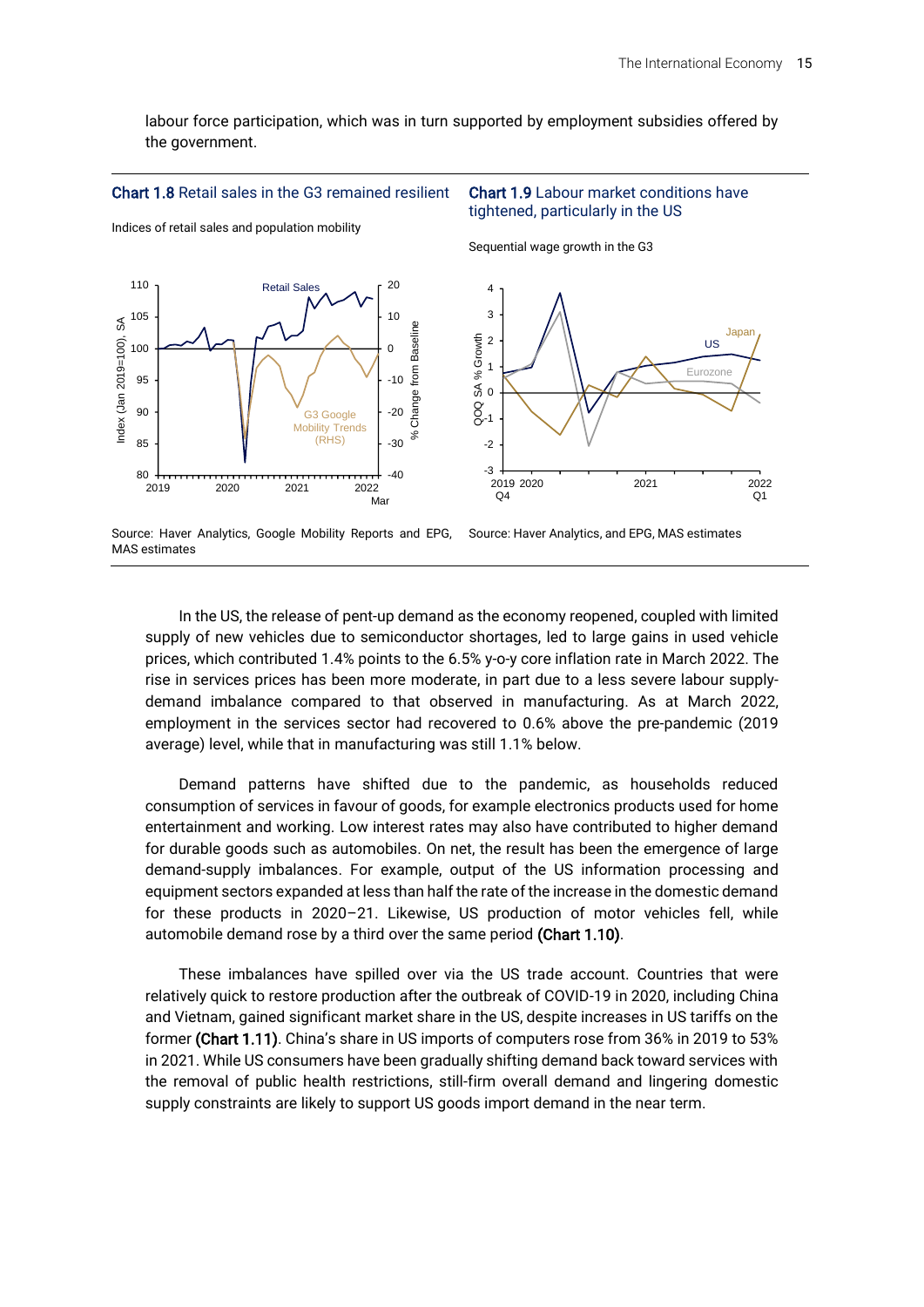labour force participation, which was in turn supported by employment subsidies offered by the government.





Indices of retail sales and population mobility



#### Chart 1.9 Labour market conditions have tightened, particularly in the US

Sequential wage growth in the G3



Source: Haver Analytics, Google Mobility Reports and EPG, MAS estimates



In the US, the release of pent-up demand as the economy reopened, coupled with limited supply of new vehicles due to semiconductor shortages, led to large gains in used vehicle prices, which contributed 1.4% points to the 6.5% y-o-y core inflation rate in March 2022. The rise in services prices has been more moderate, in part due to a less severe labour supplydemand imbalance compared to that observed in manufacturing. As at March 2022, employment in the services sector had recovered to 0.6% above the pre-pandemic (2019 average) level, while that in manufacturing was still 1.1% below.

Demand patterns have shifted due to the pandemic, as households reduced consumption of services in favour of goods, for example electronics products used for home entertainment and working. Low interest rates may also have contributed to higher demand for durable goods such as automobiles. On net, the result has been the emergence of large demand-supply imbalances. For example, output of the US information processing and equipment sectors expanded at less than half the rate of the increase in the domestic demand for these products in 2020–21. Likewise, US production of motor vehicles fell, while automobile demand rose by a third over the same period (Chart 1.10).

These imbalances have spilled over via the US trade account. Countries that were relatively quick to restore production after the outbreak of COVID-19 in 2020, including China and Vietnam, gained significant market share in the US, despite increases in US tariffs on the former (Chart 1.11). China's share in US imports of computers rose from 36% in 2019 to 53% in 2021. While US consumers have been gradually shifting demand back toward services with the removal of public health restrictions, still-firm overall demand and lingering domestic supply constraints are likely to support US goods import demand in the near term.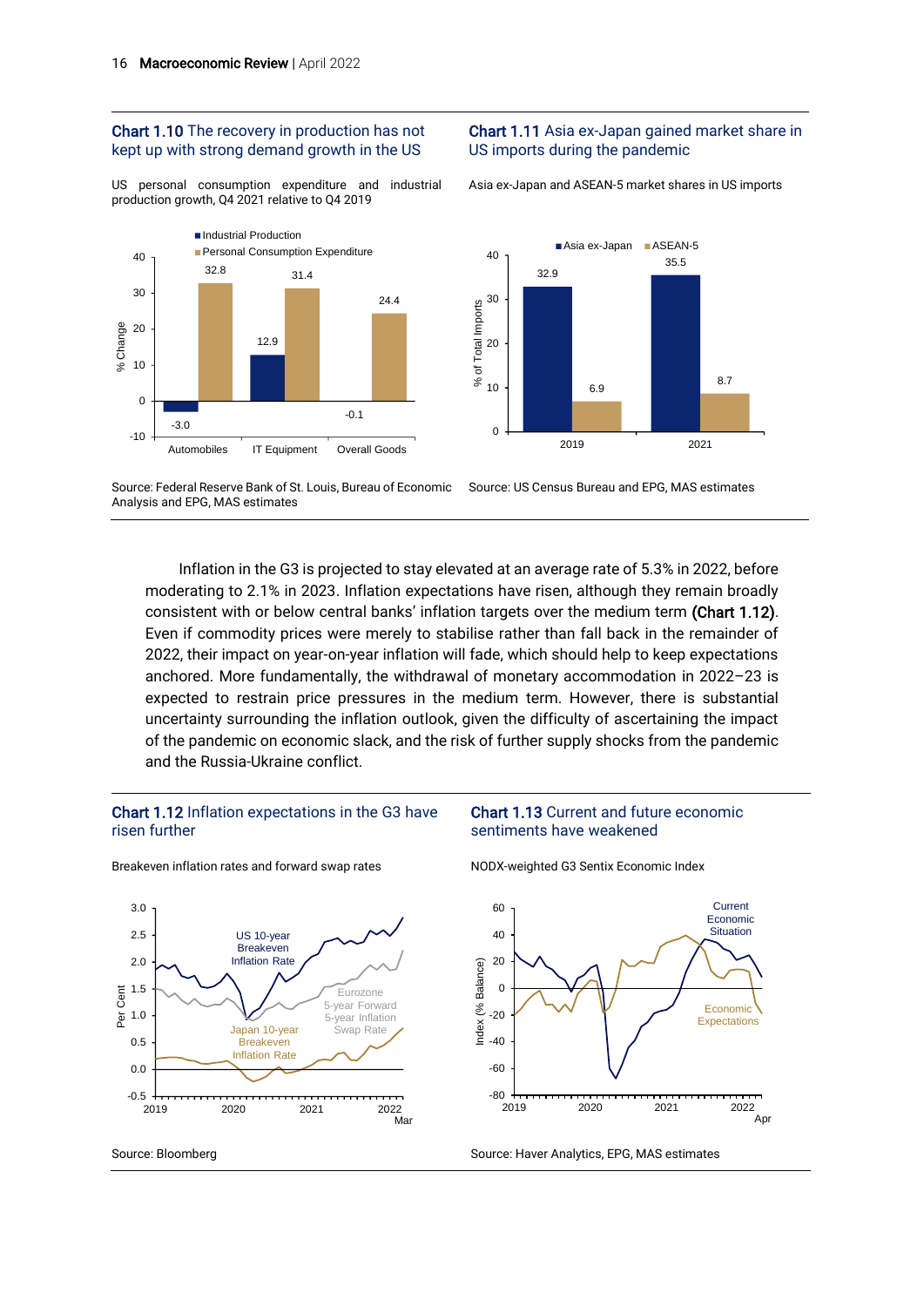#### Chart 1.10 The recovery in production has not kept up with strong demand growth in the US

US personal consumption expenditure and industrial production growth, Q4 2021 relative to Q4 2019



#### Chart 1.11 Asia ex-Japan gained market share in US imports during the pandemic

Asia ex-Japan and ASEAN-5 market shares in US imports



Source: Federal Reserve Bank of St. Louis, Bureau of Economic Analysis and EPG, MAS estimates Source: US Census Bureau and EPG, MAS estimates

Inflation in the G3 is projected to stay elevated at an average rate of 5.3% in 2022, before moderating to 2.1% in 2023. Inflation expectations have risen, although they remain broadly consistent with or below central banks' inflation targets over the medium term (Chart 1.12). Even if commodity prices were merely to stabilise rather than fall back in the remainder of 2022, their impact on year-on-year inflation will fade, which should help to keep expectations anchored. More fundamentally, the withdrawal of monetary accommodation in 2022–23 is expected to restrain price pressures in the medium term. However, there is substantial uncertainty surrounding the inflation outlook, given the difficulty of ascertaining the impact of the pandemic on economic slack, and the risk of further supply shocks from the pandemic and the Russia-Ukraine conflict.

#### Chart 1.12 Inflation expectations in the G3 have risen further



Breakeven inflation rates and forward swap rates

NODX-weighted G3 Sentix Economic Index

sentiments have weakened

Chart 1.13 Current and future economic



Source: Bloomberg Source: Haver Analytics, EPG, MAS estimates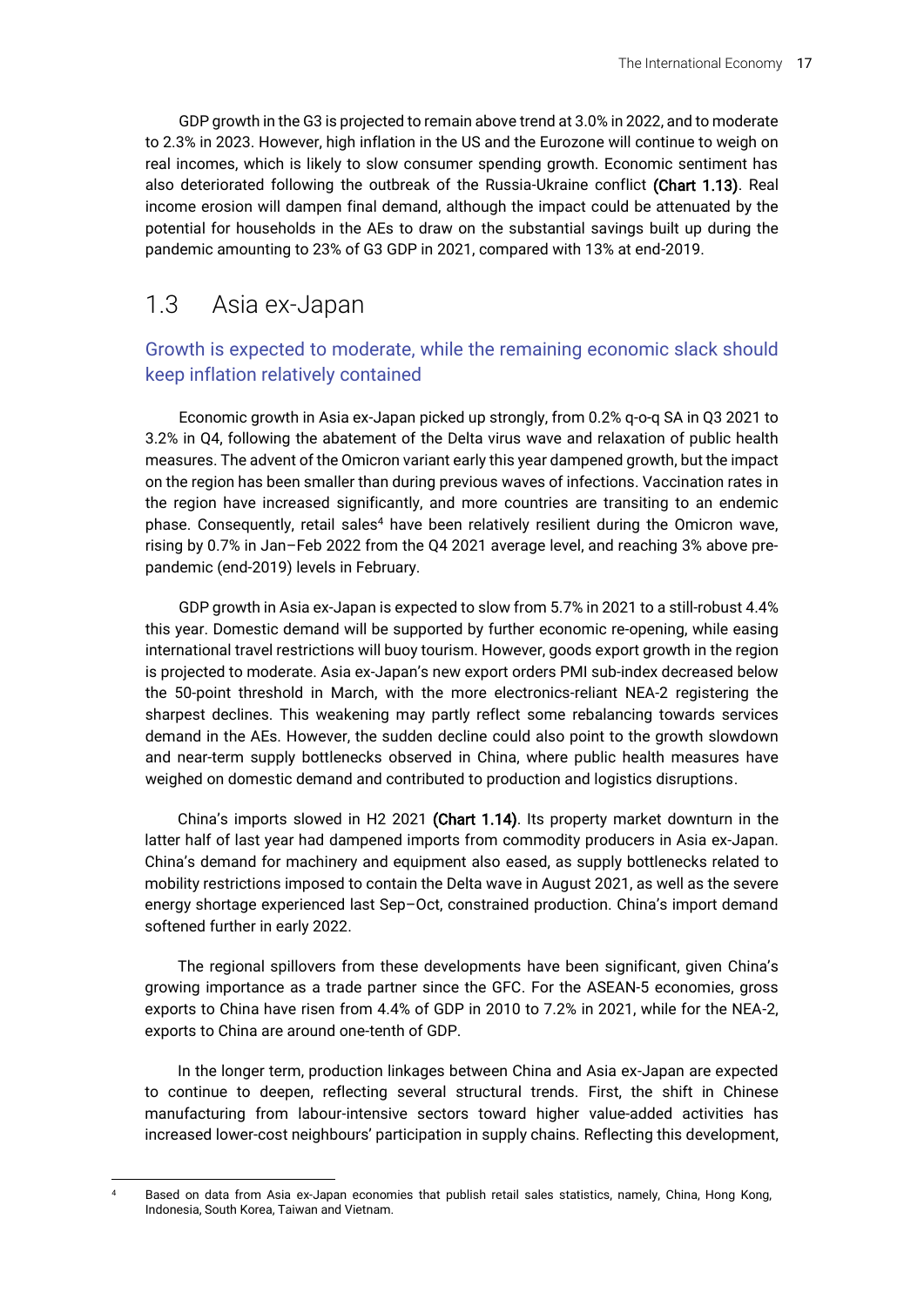GDP growth in the G3 is projected to remain above trend at 3.0% in 2022, and to moderate to 2.3% in 2023. However, high inflation in the US and the Eurozone will continue to weigh on real incomes, which is likely to slow consumer spending growth. Economic sentiment has also deteriorated following the outbreak of the Russia-Ukraine conflict (Chart 1.13). Real income erosion will dampen final demand, although the impact could be attenuated by the potential for households in the AEs to draw on the substantial savings built up during the pandemic amounting to 23% of G3 GDP in 2021, compared with 13% at end-2019.

## 1.3 Asia ex-Japan

### Growth is expected to moderate, while the remaining economic slack should keep inflation relatively contained

Economic growth in Asia ex-Japan picked up strongly, from 0.2% q-o-q SA in Q3 2021 to 3.2% in Q4, following the abatement of the Delta virus wave and relaxation of public health measures. The advent of the Omicron variant early this year dampened growth, but the impact on the region has been smaller than during previous waves of infections. Vaccination rates in the region have increased significantly, and more countries are transiting to an endemic phase. Consequently, retail sales<sup>4</sup> have been relatively resilient during the Omicron wave, rising by 0.7% in Jan–Feb 2022 from the Q4 2021 average level, and reaching 3% above prepandemic (end-2019) levels in February.

GDP growth in Asia ex-Japan is expected to slow from 5.7% in 2021 to a still-robust 4.4% this year. Domestic demand will be supported by further economic re-opening, while easing international travel restrictions will buoy tourism. However, goods export growth in the region is projected to moderate. Asia ex-Japan's new export orders PMI sub-index decreased below the 50-point threshold in March, with the more electronics-reliant NEA-2 registering the sharpest declines. This weakening may partly reflect some rebalancing towards services demand in the AEs. However, the sudden decline could also point to the growth slowdown and near-term supply bottlenecks observed in China, where public health measures have weighed on domestic demand and contributed to production and logistics disruptions.

China's imports slowed in H2 2021 (Chart 1.14). Its property market downturn in the latter half of last year had dampened imports from commodity producers in Asia ex-Japan. China's demand for machinery and equipment also eased, as supply bottlenecks related to mobility restrictions imposed to contain the Delta wave in August 2021, as well as the severe energy shortage experienced last Sep–Oct, constrained production. China's import demand softened further in early 2022.

The regional spillovers from these developments have been significant, given China's growing importance as a trade partner since the GFC. For the ASEAN-5 economies, gross exports to China have risen from 4.4% of GDP in 2010 to 7.2% in 2021, while for the NEA-2, exports to China are around one-tenth of GDP.

In the longer term, production linkages between China and Asia ex-Japan are expected to continue to deepen, reflecting several structural trends. First, the shift in Chinese manufacturing from labour-intensive sectors toward higher value-added activities has increased lower-cost neighbours' participation in supply chains. Reflecting this development,

Based on data from Asia ex-Japan economies that publish retail sales statistics, namely, China, Hong Kong, Indonesia, South Korea, Taiwan and Vietnam.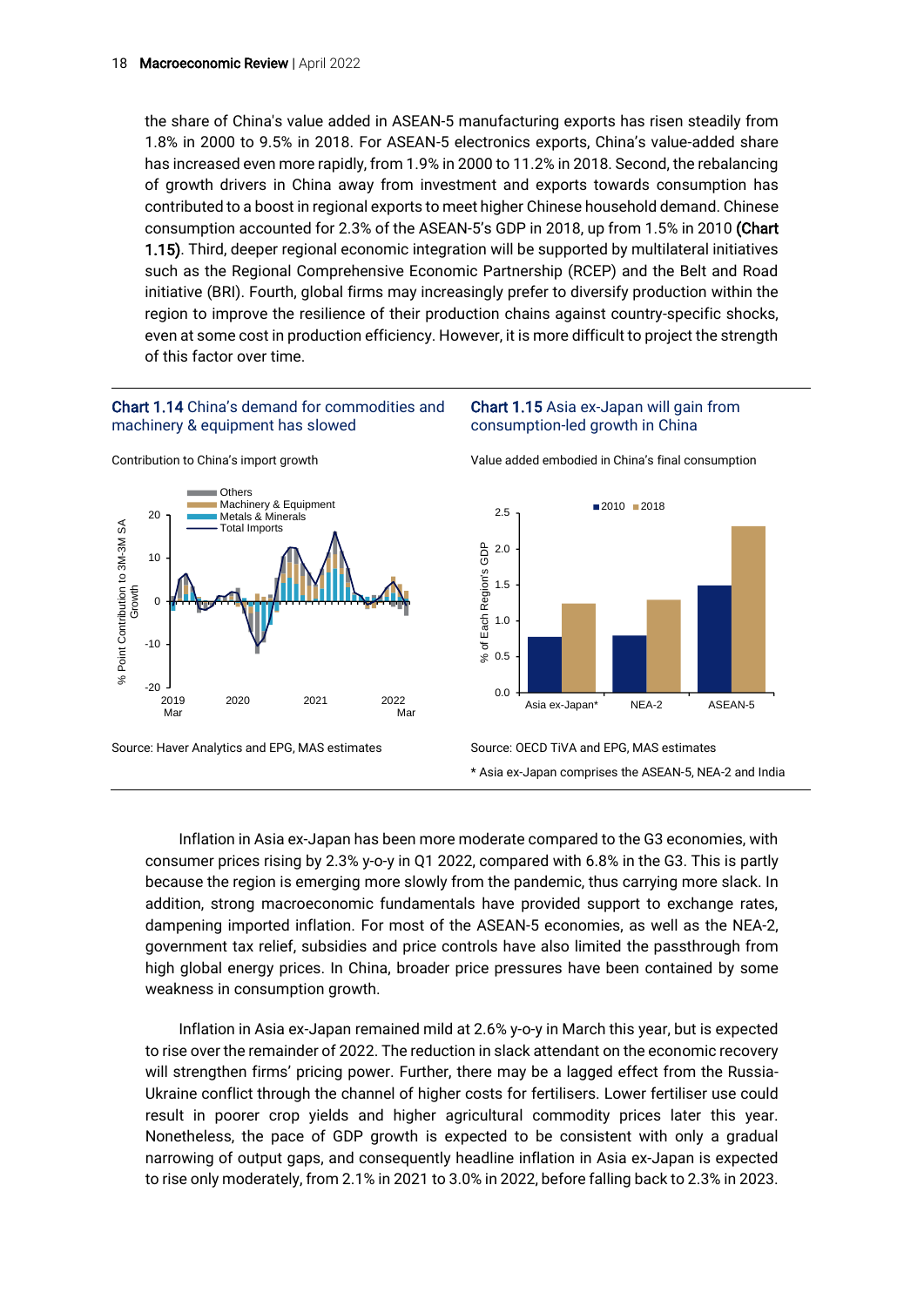the share of China's value added in ASEAN-5 manufacturing exports has risen steadily from 1.8% in 2000 to 9.5% in 2018. For ASEAN-5 electronics exports, China's value-added share has increased even more rapidly, from 1.9% in 2000 to 11.2% in 2018. Second, the rebalancing of growth drivers in China away from investment and exports towards consumption has contributed to a boost in regional exports to meet higher Chinese household demand. Chinese consumption accounted for 2.3% of the ASEAN-5's GDP in 2018, up from 1.5% in 2010 (Chart 1.15). Third, deeper regional economic integration will be supported by multilateral initiatives such as the Regional Comprehensive Economic Partnership (RCEP) and the Belt and Road initiative (BRI). Fourth, global firms may increasingly prefer to diversify production within the region to improve the resilience of their production chains against country-specific shocks, even at some cost in production efficiency. However, it is more difficult to project the strength of this factor over time.

#### Chart 1.14 China's demand for commodities and machinery & equipment has slowed





#### Chart 1.15 Asia ex-Japan will gain from consumption-led growth in China

Value added embodied in China's final consumption



\* Asia ex-Japan comprises the ASEAN-5, NEA-2 and India

Inflation in Asia ex-Japan has been more moderate compared to the G3 economies, with consumer prices rising by 2.3% y-o-y in Q1 2022, compared with 6.8% in the G3. This is partly because the region is emerging more slowly from the pandemic, thus carrying more slack. In addition, strong macroeconomic fundamentals have provided support to exchange rates, dampening imported inflation. For most of the ASEAN-5 economies, as well as the NEA-2, government tax relief, subsidies and price controls have also limited the passthrough from high global energy prices. In China, broader price pressures have been contained by some weakness in consumption growth.

Inflation in Asia ex-Japan remained mild at 2.6% y-o-y in March this year, but is expected to rise over the remainder of 2022. The reduction in slack attendant on the economic recovery will strengthen firms' pricing power. Further, there may be a lagged effect from the Russia-Ukraine conflict through the channel of higher costs for fertilisers. Lower fertiliser use could result in poorer crop yields and higher agricultural commodity prices later this year. Nonetheless, the pace of GDP growth is expected to be consistent with only a gradual narrowing of output gaps, and consequently headline inflation in Asia ex-Japan is expected to rise only moderately, from 2.1% in 2021 to 3.0% in 2022, before falling back to 2.3% in 2023.